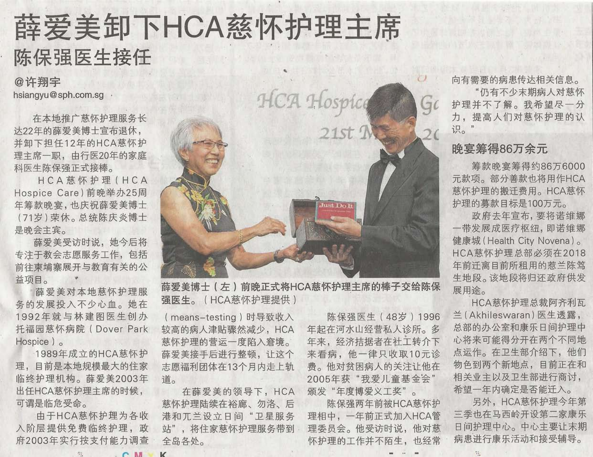# 薛爱美卸下HCA慈怀护理主席 陈保强医生接任

@许翔宇 hsiangyu@sph.com.sq .

在本地推广慈怀护理服务长 达22年的薛爱美博士宣布退休, 并卸下担任12年的HCA慈怀护 理主席一职, 由行医20年的家庭 科医生陈保强正式接棒。

HCA慈怀护理 (HCA Hospice Care) 前晚举办25周 年筹款晚宴,也庆祝薛爱美博士 (71岁)荣休。总统陈庆炎博士 是晚会主宾。

薛爱美受访时说,她今后将 专注干教会志愿服务工作,包括 前往柬埔寨展开与教育有关的公 益项目。

薛爱美对本地慈怀护理服 务的发展投入不少心血。她在 1992年就与林建图医生创办 托福园慈怀病院 (Dover Park Hospice  $)$ 

1989年成立的HCA慈怀护 理,目前是本地规模最大的住家 临终护理机构。薛爱美2003年 出任HCA慈怀护理主席的时候, 可谓是临危受命。

由于HCA慈怀护理为各收 入阶层提供免费临终护理, 政 府2003年实行按支付能力调查



薛爱美博士(左)前晚正式将HCA慈怀护理主席的棒子交给陈保 强医生。(HCA慈怀护理提供)

(means-testing)时导致收入 较高的病人津贴骤然减少, HCA 慈怀护理的营运一度陷入窘境。 薛爱美接手后进行整顿, 让这个 志愿福利团体在13个月内走上轨 道。

在薛爱美的领导下, HCA 慈怀护理陆续在裕廊、勿洛、后 港和兀兰设立日间"卫星服务 站",将住家慈怀护理服务带到 全岛各处。

陈保强医生 (48岁) 1996 年起在河水山经营私人诊所。多 年来, 经济拮据者在社工转介下 来看病, 他一律只收取10元诊 费。他对贫困病人的关注让他在 2005年获"我爱儿童基金会" 颁发"年度博爱义工奖"。

陈保强两年前被HCA慈怀护 理相中, 一年前正式加入HCA管 理委员会。他受访时说,他对慈 怀护理的工作并不陌生, 也经常 向有需要的病患传达相关信息。

"仍有不少末期病人对慈怀 护理并不了解。我希望尽一分 力。提高人们对慈怀护理的认 识。

## 晚宴筹得86万余元

筹款晚宴筹得约86万6000 元款项。部分善款也将用作HCA 慈怀护理的搬迁费用。HCA慈怀 护理的募款日标是100万元。

政府去年宣布,要将诺维娜 一带发展成医疗枢纽,即诺维娜 健康城 (Health City Novena)。 HCA慈怀护理总部必须在2018 年前迁离目前所租用的惹兰陈笃 生地段。该地段将归还政府供发 展用涂。

HCA慈怀护理总裁阿齐利瓦 兰(Akhileswaran) 医生诱露, 总部的办公室和康乐日间护理中 心将来可能得分开在两个不同地 点运作。在卫生部介绍下,他们 物色到两个新地点, 目前正在和 相关业主以及卫生部进行商讨, 希望一年内确定是否能迁入。

另外, HCA慈怀护理今年第 三季也在马西岭开设第二家康乐 日间护理中心。中心主要让末期 病患进行康乐活动和接受辅导。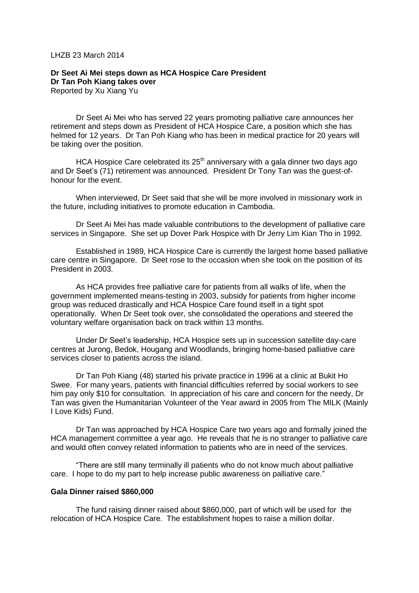#### LHZB 23 March 2014

### **Dr Seet Ai Mei steps down as HCA Hospice Care President Dr Tan Poh Kiang takes over** Reported by Xu Xiang Yu

Dr Seet Ai Mei who has served 22 years promoting palliative care announces her retirement and steps down as President of HCA Hospice Care, a position which she has helmed for 12 years. Dr Tan Poh Kiang who has been in medical practice for 20 years will be taking over the position.

HCA Hospice Care celebrated its  $25<sup>th</sup>$  anniversary with a gala dinner two days ago and Dr Seet's (71) retirement was announced. President Dr Tony Tan was the guest-ofhonour for the event.

When interviewed, Dr Seet said that she will be more involved in missionary work in the future, including initiatives to promote education in Cambodia.

Dr Seet Ai Mei has made valuable contributions to the development of palliative care services in Singapore. She set up Dover Park Hospice with Dr Jerry Lim Kian Tho in 1992.

Established in 1989, HCA Hospice Care is currently the largest home based palliative care centre in Singapore. Dr Seet rose to the occasion when she took on the position of its President in 2003.

As HCA provides free palliative care for patients from all walks of life, when the government implemented means-testing in 2003, subsidy for patients from higher income group was reduced drastically and HCA Hospice Care found itself in a tight spot operationally. When Dr Seet took over, she consolidated the operations and steered the voluntary welfare organisation back on track within 13 months.

Under Dr Seet's leadership, HCA Hospice sets up in succession satellite day-care centres at Jurong, Bedok, Hougang and Woodlands, bringing home-based palliative care services closer to patients across the island.

Dr Tan Poh Kiang (48) started his private practice in 1996 at a clinic at Bukit Ho Swee. For many years, patients with financial difficulties referred by social workers to see him pay only \$10 for consultation. In appreciation of his care and concern for the needy, Dr Tan was given the Humanitarian Volunteer of the Year award in 2005 from The MILK (Mainly I Love Kids) Fund.

Dr Tan was approached by HCA Hospice Care two years ago and formally joined the HCA management committee a year ago. He reveals that he is no stranger to palliative care and would often convey related information to patients who are in need of the services.

"There are still many terminally ill patients who do not know much about palliative care. I hope to do my part to help increase public awareness on palliative care."

#### **Gala Dinner raised \$860,000**

The fund raising dinner raised about \$860,000, part of which will be used for the relocation of HCA Hospice Care. The establishment hopes to raise a million dollar.